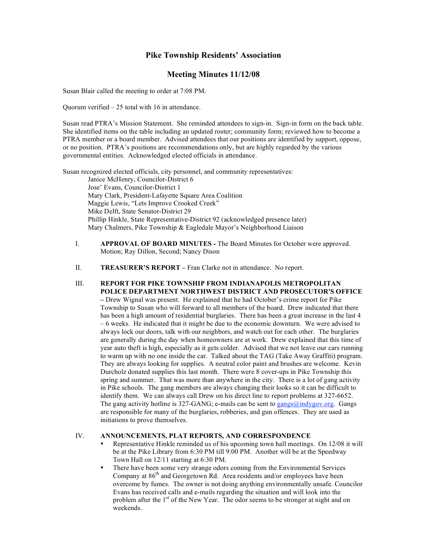# **Pike Township Residents' Association**

# **Meeting Minutes 11/12/08**

Susan Blair called the meeting to order at 7:08 PM.

Quorum verified – 25 total with 16 in attendance.

Susan read PTRA's Mission Statement. She reminded attendees to sign-in. Sign-in form on the back table. She identified items on the table including an updated roster; community form; reviewed how to become a PTRA member or a board member. Advised attendees that our positions are identified by support, oppose, or no position. PTRA's positions are recommendations only, but are highly regarded by the various governmental entities. Acknowledged elected officials in attendance.

Susan recognized elected officials, city personnel, and community representatives: Janice McHenry, Councilor-District 6 Jose' Evans, Councilor-District 1 Mary Clark, President-Lafayette Square Area Coalition Maggie Lewis, "Lets Improve Crooked Creek" Mike Delft, State Senator-District 29 Phillip Hinkle, State Representative-District 92 (acknowledged presence later) Mary Chalmers, Pike Township & Eagledale Mayor's Neighborhood Liaison

- I. **APPROVAL OF BOARD MINUTES -** The Board Minutes for October were approved. Motion; Ray Dillon, Second; Nancy Dison
- II. **TREASURER'S REPORT –** Fran Clarke not in attendance. No report.

### III. **REPORT FOR PIKE TOWNSHIP FROM INDIANAPOLIS METROPOLITAN POLICE DEPARTMENT NORTHWEST DISTRICT AND PROSECUTOR'S OFFICE –** Drew Wignal was present. He explained that he had October's crime report for Pike Township to Susan who will forward to all members of the board. Drew indicated that there has been a high amount of residential burglaries. There has been a great increase in the last 4 – 6 weeks. He indicated that it might be due to the economic downturn. We were advised to always lock our doors, talk with our neighbors, and watch out for each other. The burglaries are generally during the day when homeowners are at work. Drew explained that this time of year auto theft is high, especially as it gets colder. Advised that we not leave our cars running to warm up with no one inside the car. Talked about the TAG (Take Away Graffiti) program. They are always looking for supplies. A neutral color paint and brushes are welcome. Kevin Durcholz donated supplies this last month. There were 8 cover-ups in Pike Township this spring and summer. That was more than anywhere in the city. There is a lot of gang activity in Pike schools. The gang members are always changing their looks so it can be difficult to identify them. We can always call Drew on his direct line to report problems at 327-6652. The gang activity hotline is  $327-GANG$ ; e-mails can be sent to gangs@indygov.org. Gangs are responsible for many of the burglaries, robberies, and gun offences. They are used as initiations to prove themselves.

#### IV. **ANNOUNCEMENTS, PLAT REPORTS, AND CORRESPONDENCE**

- Representative Hinkle reminded us of his upcoming town hall meetings. On 12/08 it will be at the Pike Library from 6:30 PM till 9:00 PM. Another will be at the Speedway Town Hall on 12/11 starting at 6:30 PM.
- There have been some very strange odors coming from the Environmental Services Company at 86<sup>th</sup> and Georgetown Rd. Area residents and/or employees have been overcome by fumes. The owner is not doing anything environmentally unsafe. Councilor Evans has received calls and e-mails regarding the situation and will look into the problem after the 1<sup>st</sup> of the New Year. The odor seems to be stronger at night and on weekends.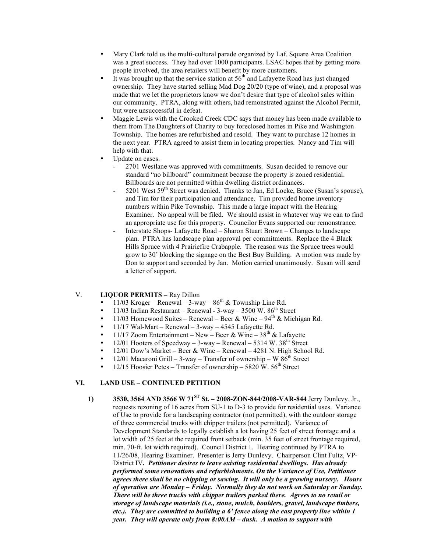- Mary Clark told us the multi-cultural parade organized by Laf. Square Area Coalition was a great success. They had over 1000 participants. LSAC hopes that by getting more people involved, the area retailers will benefit by more customers.
- It was brought up that the service station at  $56<sup>th</sup>$  and Lafayette Road has just changed ownership. They have started selling Mad Dog 20/20 (type of wine), and a proposal was made that we let the proprietors know we don't desire that type of alcohol sales within our community. PTRA, along with others, had remonstrated against the Alcohol Permit, but were unsuccessful in defeat.
- Maggie Lewis with the Crooked Creek CDC says that money has been made available to them from The Daughters of Charity to buy foreclosed homes in Pike and Washington Township. The homes are refurbished and resold. They want to purchase 12 homes in the next year. PTRA agreed to assist them in locating properties. Nancy and Tim will help with that.
- Update on cases.
	- 2701 Westlane was approved with commitments. Susan decided to remove our standard "no billboard" commitment because the property is zoned residential. Billboards are not permitted within dwelling district ordinances.
	- $5201$  West  $59<sup>th</sup>$  Street was denied. Thanks to Jan, Ed Locke, Bruce (Susan's spouse), and Tim for their participation and attendance. Tim provided home inventory numbers within Pike Township. This made a large impact with the Hearing Examiner. No appeal will be filed. We should assist in whatever way we can to find an appropriate use for this property. Councilor Evans supported our remonstrance.
	- Interstate Shops- Lafayette Road Sharon Stuart Brown Changes to landscape plan. PTRA has landscape plan approval per commitments. Replace the 4 Black Hills Spruce with 4 Prairiefire Crabapple. The reason was the Spruce trees would grow to 30' blocking the signage on the Best Buy Building. A motion was made by Don to support and seconded by Jan. Motion carried unanimously. Susan will send a letter of support.

# V. **LIQUOR PERMITS –** Ray Dillon

- 11/03 Kroger Renewal 3-way  $86<sup>th</sup>$  & Township Line Rd.
- 11/03 Indian Restaurant Renewal  $3$ -way  $3500$  W.  $86<sup>th</sup>$  Street
- 11/03 Homewood Suites Renewal Beer & Wine  $94<sup>th</sup>$  & Michigan Rd.
- 11/17 Wal-Mart Renewal  $3$ -way 4545 Lafayette Rd.
- 11/17 Zoom Entertainment New Beer & Wine  $38<sup>th</sup>$  & Lafayette
- 12/01 Hooters of Speedway 3-way Renewal 5314 W. 38<sup>th</sup> Street
- 12/01 Dow's Market Beer & Wine Renewal 4281 N. High School Rd.
- 12/01 Macaroni Grill 3-way Transfer of ownership W  $86<sup>th</sup>$  Street
- $12/15$  Hoosier Petes Transfer of ownership 5820 W. 56<sup>th</sup> Street

## **VI. LAND USE – CONTINUED PETITION**

**1) 3530, 3564 AND 3566 W 71ST St. – 2008-ZON-844/2008-VAR-844** Jerry Dunlevy, Jr., requests rezoning of 16 acres from SU-1 to D-3 to provide for residential uses. Variance of Use to provide for a landscaping contractor (not permitted), with the outdoor storage of three commercial trucks with chipper trailers (not permitted). Variance of Development Standards to legally establish a lot having 25 feet of street frontage and a lot width of 25 feet at the required front setback (min. 35 feet of street frontage required, min. 70-ft. lot width required). Council District 1. Hearing continued by PTRA to 11/26/08, Hearing Examiner. Presenter is Jerry Dunlevy. Chairperson Clint Fultz, VP-District IV*. Petitioner desires to leave existing residential dwellings. Has already performed some renovations and refurbishments. On the Variance of Use, Petitioner agrees there shall be no chipping or sawing. It will only be a growing nursery. Hours of operation are Monday – Friday. Normally they do not work on Saturday or Sunday. There will be three trucks with chipper trailers parked there. Agrees to no retail or storage of landscape materials (i.e., stone, mulch, boulders, gravel, landscape timbers, etc.). They are committed to building a 6' fence along the east property line within 1 year. They will operate only from 8:00AM – dusk. A motion to support with*